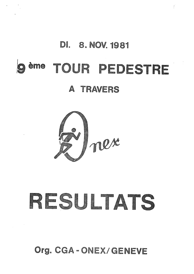### **DI.** 8. NOV. 1981

 $\epsilon$ 

# TOUR PEDESTRE ème

## A TRAVERS



# RESULTATS

Org. CGA-ONEX/GENEVE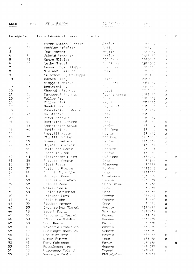NOM & PRENOM -ANNEE **RANG** 

 $\mathbf{v} = (v_1, \ldots, v_n)$  .

CLUB/DOMICILE

**TEMPS** 

| $5*h$ km<br>Catégorie Populaire Hommea et Damea |                             |                          |                            |                                                                                    | $\overline{\mathbb{H}}$              | $\frac{1}{2}$ |
|-------------------------------------------------|-----------------------------|--------------------------|----------------------------|------------------------------------------------------------------------------------|--------------------------------------|---------------|
| 1                                               | 59                          | Byrne-Sutton Guentin     | Genève                     | 17146#7                                                                            | X.                                   |               |
| 2                                               | l, 9                        | Renkler Frédéric         | Lully                      | 17147#2                                                                            | x                                    |               |
| 3                                               |                             | <b>Zapf Werner</b>       | Meyrin                     | 1812917                                                                            | $\times$                             |               |
| $\mathcal{I}_1$                                 | 52                          | Schmid François          | <b>Genève</b>              | 1815398                                                                            | $\asymp$                             |               |
| 5                                               | 58                          | Epars Olivier            | EGA Dnex                   | 1918212                                                                            | $\mathbb{X}_\mathbf{c}$              |               |
| ¢,                                              | $c,\gamma$                  | Luthy Marcel             | Confloen                   | 19123#5                                                                            | y.                                   |               |
| 7                                               | $\cap \bigcap$              | Haymoz Ch.-Philippe      | EGA Onex                   | 1913210                                                                            | X.                                   |               |
| $\mathbf B$                                     | $\ell_1 P_1$                | <b>Viviand Christian</b> | ilnez.                     | 手身打扮进自                                                                             | X                                    |               |
| 9                                               | 57                          | Le Grand Roy Philippe    | 月后后                        | 10101110                                                                           | X                                    |               |
| 10                                              | $l_1 l_1$                   | Roeach Fredy             | Versoix                    | 2日村住門文                                                                             | X.                                   |               |
| 11                                              | 55                          | <b>Binggeli Martin</b>   | CGA Thier                  | 可挂得吗                                                                               | X.                                   |               |
| 12                                              | 43                          | Destefani A.             | <b>Dnex</b>                | 70111388                                                                           | Y.                                   |               |
| 13                                              | 50                          | Chappuis Francis         | Meyrin                     | 内的手手 开机                                                                            | $\mathbb{X}$                         |               |
| 1 <sub>4</sub>                                  | $5t_{\rm f}$                | Marquerat Bernard        | Gd. - Saconnex             | 연단 전략도                                                                             | $\mathbb{M}$                         |               |
| $15$                                            | $I_t \cap$                  | Muller Aruno             | <b>Thex</b>                | 2日村田野                                                                              | X                                    |               |
| $16$                                            | 55.                         | Piller Alain             | Meyrin                     | 2012213                                                                            | $\mathbb{M}$                         |               |
| 17                                              | $I_1$ 5                     | Baudet Bernard           | Seynaud(Fr)                | 空日科熱児医                                                                             | $\mathbf{Z}$                         |               |
| 18                                              |                             | Robert-Tisaot André      | <b>Driex</b>               | 20157#4                                                                            | $\mathbf{x}$                         |               |
| 19                                              | 1, 3                        | MG Silbert               | <b>Dnex</b>                | 20158#0                                                                            | $\mathcal{R}_\star$                  |               |
| 20                                              | 52                          | Previ Massimo            | finex.                     | $2(115)$ iii $H_1$                                                                 | ÿ.                                   |               |
| 21.                                             | 1,7                         | Bartolini Luciano        | <b>flingx</b>              | 2015915                                                                            | $\bowtie$                            |               |
| 22                                              | 53                          | Andenmatten David        | Genève:                    | 21102#7                                                                            | $\times$                             |               |
| 23                                              | $E_{\rm D}$                 | Mortin Michel            | <b>CGA</b> Onex            | 2112444                                                                            | $\times$                             |               |
| 24                                              |                             | Pedretti Mario           | Meyrin                     | 2112479                                                                            | X.                                   |               |
| 25                                              | 39.                         | Miquille Michel          | CGA Onex                   | $21 + 34$                                                                          | $\mathbb{R}^+$                       |               |
| gr,                                             | 59                          | Kummer P.-Alain          | Genêve                     | 2313519                                                                            | ×.                                   |               |
| 27                                              | 63                          | Haymoz Dominiqie         | Onex                       | 21139#2                                                                            | Ý.                                   |               |
| 28                                              | 5C                          | Gertschen Daniel         | Carouge                    | 与基本有些地面                                                                            | $\mathbf{M}^{\prime}_{\mathrm{c}}$   |               |
| 29                                              | E2                          | Chappuis Jean            | Renève                     | 2317509                                                                            | $\mathbf{X}$                         |               |
| 30                                              | 63                          | Slettenhaar Flize        | CGA Anex                   | pitsgm                                                                             |                                      | X.            |
| 31                                              | 35                          | Scapozza Fausto          | Unex                       | pornight.                                                                          | $\mathbb{X}_i$                       |               |
| 32                                              | 3<                          | Aleri Fritz              | Sézennve                   | untgang.                                                                           | $\mathbb{X}^{\scriptscriptstyle{+}}$ |               |
| 33                                              | 野                           | Rortachi Pierre          | <b>Genève</b>              | 22113#3                                                                            | X                                    |               |
| $\mathcal{B}l_{t}$                              | $I_1(\tilde{\ }$            | Gaugain Mireille         | finex.                     | 22113#3                                                                            |                                      | $\mathcal{R}$ |
| 35                                              | $l_1 \perp$                 | Mocheret René            | Pt.-Lancy                  | ppropriig                                                                          | $\mathbf{x}$                         |               |
| 36                                              | $\mathfrak{g} \mathfrak{g}$ | Fraghière J.-Marc        | Genêve                     | 22123#7                                                                            | ×.                                   |               |
| 37                                              | 52                          | <b>Vazquez Angel</b>     | Châtelaine                 | 224 기금표(S                                                                          | X.                                   |               |
| 30 <sub>1</sub>                                 | 53                          | Weimer Daniel            | <b>Unex</b>                | 2010247                                                                            | $\mathbb{R}^{\mathbb{N}}$            |               |
| $\mathcal{G}^{E}$                               | 50                          | Husler Christian         | <b>Dnex</b>                | 2213247                                                                            | ż.                                   |               |
| $l_1$ $\Omega$                                  | $l, \in$                    | Heiniger Kurt            | Senève                     | 22137#1                                                                            | $\mathcal{S}_\mathrm{c}$             |               |
| h <sub>1</sub>                                  | $l_{\rm{f}}$ :,             | Croix Michel             | Genève                     | <sub>은근 최신</sub> 예약                                                                | $\mathbb{N}$                         |               |
| 42                                              | 35                          | Stucker Werner           | Drinx                      | $\mathcal{V}^{\text{ref}}_{\text{eff}}$ is $\mathcal{V}^{\text{ref}}_{\text{eff}}$ | $\mathbb{M}$                         |               |
| 1,3                                             | 50                          | Baderzacher Michel       | Avully                     | 23104#8                                                                            | $\mathbf{y}$                         |               |
| $l_1 l_1$                                       | 49                          | Beusch Fritz             | Veyrier                    | 2310958                                                                            | x                                    |               |
| 45                                              | 55                          | De Lorenzi Pascal        | Bernex                     | 23*10#2                                                                            | X.                                   |               |
| $L\!\!\!\downarrow\!C$                          | 50                          | D'Odorico Amédée         | Genève                     | 2312289                                                                            | X                                    |               |
| 47                                              | 50                          | Pont Daniel              | Perly                      | 2312388                                                                            | $\mathbbmss{K}$                      |               |
| $L_1 \mathcal{C}$                               | $l_1 l_1$                   | Mavarria Francesco       | Meyrin                     | 2312819                                                                            | $\mathcal{L}$                        |               |
| $I_1 \mathfrak{g}$                              | $\hbar T$                   | Rudlinger Anne-Ch.       | <b>Genève</b>              | 2313240                                                                            |                                      | x             |
| $50$                                            | 47                          | Croisier Rémi            | Meyrin                     | 23136.07                                                                           | X                                    |               |
| 51                                              | 35                          | Simon Pierre             | <b><i><u>Finex</u></i></b> | 7313588                                                                            | ${\cal H}$                           |               |
| $52\,$                                          | 51                          | Pont Fabienne            | Perly                      | 7430150                                                                            |                                      | ×             |
| 53                                              | 50                          | Rutschmann Urs           | Genève                     | 24'03"9                                                                            | $\times$                             |               |
| $5I_1$                                          | 40                          | Mazenauer Roland         | Coppet                     | 外科技科手                                                                              | x                                    |               |
| 55                                              | 52                          | Venenzio Fanin           | Châteleinn                 | 2610007                                                                            | X                                    |               |

 $\bar{z}$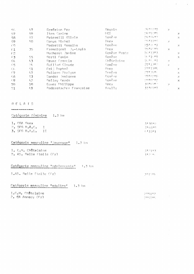| $C_1\zeta$ .                  | 47  | Grafaton Per           | Meyrin        | (7程すら手 8号)  | Х  |                       |
|-------------------------------|-----|------------------------|---------------|-------------|----|-----------------------|
| 57                            | 59. | Iten Carine            | LIGS.         | 24152#5     |    | X                     |
| 58                            | 57  | Peterelli Glivia       | Genève        | 学有手指程 热急    |    | $\times$              |
| -59                           | 50. | Conus Michel           | <i>Uriex</i>  | TRITIES.    | X  |                       |
| $\overline{C}$ $\overline{C}$ |     | Pedretti Rosalba       | Genêve:       | 2512011     |    | ×                     |
| -61                           | 35. | Framaigeat J.-Louis    | <b>Thex</b>   | 没有利有与其身。    | x  |                       |
| $-62$                         |     | Macheret Janine        | Genève Poste  | 2611383     |    | $\boldsymbol{\times}$ |
| -63                           | 55. | Herti Fanin            | Geneve.       | 想进工作机       |    | $\times$              |
| -64                           | 43  | Gruez Françis          | Châtrisine    | 26月2月       | 20 |                       |
| -65                           | 2h  | Guillad Claude         | Genève        | 27113#0     | X. |                       |
| -G6                           | 51  | Feij Daphné            | Onex.         | つつま モミサル    |    | $\mathcal{N}$         |
| -67                           | 47  | Poltern Morlyse        | Genève        | - 岩壁大学店 せく、 |    | $\boldsymbol{\times}$ |
| $-68$                         | 53  | Sandoz Josianne        | Genève        | 2019201     |    | Х                     |
| -69.                          | 42. | Rellay Serda           | <b>Genève</b> | go trgag.   |    | $\geq$                |
| 70                            | 50  | Ecuer Philippe         | finex         | 3日料后日热气     | V. |                       |
| 71                            | 49  | Raderstacher Françoise | Avully        | 3110157     |    | ×                     |
|                               |     |                        |               |             |    |                       |

 $\label{eq:2.1} \mathcal{F}(\mathcal{F}) = \mathcal{F}(\mathcal{F})$ 

### RELAIS

.<br>Martin salah satu di badan dan dari sebagai pertama dan bagi dan bagi dalam bagi dalam bagi dan bagi dan bagi<br>Martin Salah Salah Salah Salah Salah Salah Salah Salah Salah Salah Salah Salah Salah Salah Salah Salah Salah S

| Catégorie féminine 1.3 km                                                                                                              |                             |
|----------------------------------------------------------------------------------------------------------------------------------------|-----------------------------|
| 1. CGA Onex<br>$2.5FFR$ $R$ . $R$ . $C$ . I<br>$3.$ SFG $B+N+C*$ II<br>$\alpha$ , $\alpha$ , $\alpha$ , $\alpha$ , $\alpha$ , $\alpha$ | 313912<br>314889<br>4.11011 |
| Catégorie masculine "jeunesse" 1.3 km                                                                                                  |                             |
| 1. C.H. Châtelaine<br>2. AG. Belle Etoile (Fr)                                                                                         | (312) 13<br>3100 HL         |
| Catégorie masculine "adolescents" $1.3 \text{ km}$                                                                                     |                             |
| I.AS. Relle Etoile (Fr)                                                                                                                | 落木手机球石                      |
| Catégorie masculine "adultes"<br>1.3 km                                                                                                |                             |
| 1.C.H. Châtelaine<br>$2.$ CA Annecy (Fr)                                                                                               | 卫手与手杖仗<br>2157#5            |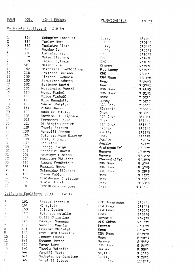| RANG                | <u>DOS.</u>          | NOM & PRENOM                         | CLUB/DOMICILE     | TEM PS                                      |
|---------------------|----------------------|--------------------------------------|-------------------|---------------------------------------------|
|                     | Catégorie écoliers B | 1.8 km                               |                   |                                             |
| $\hat{1}$           | 124                  | Schopfer Emmanuel                    | Jussy             | 6130#4                                      |
| $\overline{c}$      | 115                  | <b>Turler Marc</b>                   | <b>CHC</b>        | 7'01"6                                      |
| 3                   | 123                  | Magistra Alain                       | Jusay             | 710410                                      |
| $t_{\rm f}$         | 122                  | Harder Ian                           | Jussy             | 7105"1                                      |
| $\frac{5}{6}$       | 116                  | Lutzelschwad                         | CHC               | 7110"9                                      |
|                     | 117                  | Metry Stephane                       | CHC               | 7.14.0                                      |
| $\overline{7}$      | 119                  | Tagand Sylvain                       | CHC               | 7'16"2                                      |
| 8<br>ÿ              | 501                  | Mermod Yvan                          | Chancy            | $7!17*0$                                    |
| 10                  | 102                  | Mordasini J.-Philippe                | Pt.-Lancy         | 711901                                      |
| 11                  | 118<br>109           | Demierre Laurent                     | CHC               | 7*22*1                                      |
| 12                  | 103                  | Glardon J.-Daniel                    | CGA Onex          | 712318                                      |
| 13                  | 502                  | Schweizer Cédric<br>Gartmann David   | Onex              | 7124#3                                      |
| 14                  | 107                  | Martinelli Pascal                    | Onex              | 713701                                      |
| 15                  | 110                  | Meyer Michel                         | CGA Onex          | 714440                                      |
| 16                  | 133                  | <b>Wilde Michall</b>                 | CGA Onex          | 7'51"2                                      |
| 17                  | 125                  | Urio Benedetto                       | Onex              | 715214                                      |
| 16                  | 120                  | Seuret Patrick                       | Jussy<br>CGA Onex | 7152#7                                      |
| 19                  | 131                  | Piney Jason                          | Sézegnin          | 715414                                      |
| 20                  | 100                  | Hassler Olivier                      | Onex              | 7155#3                                      |
| 21.                 | 106                  | Martinelli Stéphane                  | CGA Onex          | 810313<br>8'10"1                            |
| 22                  | 503                  | Fernandez David                      | Onex              | $8!10*4$                                    |
| $\mathbb{Z}^2$      | 111                  | Di Biagio Patrick                    | CGA Onex          | 8'15"0                                      |
| 24                  | 125                  | Thorig Patrick                       | Bernex            | 812917                                      |
| 23                  | 139                  | Mansutti Andrea                      | Avully            | 8132#9                                      |
| $\xi\in$            | 126                  | Guichard Marc Oliviar                | <b>Onex</b>       | 813319                                      |
| 27                  | 138                  | Molly Norbert                        | Avully            | $B$ <sup>1</sup> 40 <sup>#4</sup>           |
| 28                  | 137                  | Mao Alban                            | Avully            | 8141#7                                      |
| 29                  | 130                  | Haenggi Serge                        | Archemps(Fr)      | 8151#7                                      |
| أناس                | 121                  | Mazzolini David                      | Genève            | 815819                                      |
| 31                  | 101                  | Heiniger Florian                     | Genève            | 9*12*2                                      |
| 32                  | 104                  | Mouillet Philippe                    | Chamontx(Fr)      | 9'18"5                                      |
| $\mathbb{Z}^3$      | 113                  | Truand Frédérique                    | CGA Onex          | 912714                                      |
| ЗL,                 | 112                  | Pazzini Ronny                        | CGA Onex          | 912719                                      |
| 35                  | 108                  | Schneider Stéphane                   | CGA Onex          | 912919                                      |
| 36                  | 135                  | Tison Fabien                         | Onex              | 9142"1                                      |
| 37                  | 134                  | Froidevaux Christian                 | Onex              | 914517                                      |
| 38                  | 127                  | <b>Blais Stucki</b>                  | Onex              | 9 <sup>1</sup> 50 <sup>1</sup> <sub>8</sub> |
| 39                  | 130                  | Froidevaux Georges                   | Onex              | 10'46"3                                     |
|                     |                      | Catégorie Ecolières A et 8<br>1.8 km |                   |                                             |
| 1                   | 161                  | Rozaud Isabelle                      | MGC Annemasse     | 7'08"2                                      |
| $\overline{2}$<br>3 | 164                  | MÅ Sylvie                            | CGA Onex          | 7'10"3                                      |
|                     | 163                  | <b>Bolay Corine</b>                  | CGA Onex          | 7130 B                                      |
|                     | 147                  | Guichard Natalie                     | <b>Onex</b>       | 7136#6                                      |
|                     | 160                  | Colli Christine                      | Versoix           | 7142#9                                      |
|                     | 145                  | Devarat Vanessa                      | sFG Chêne         | 715319                                      |
|                     | 162                  | Vanotti Mascia                       | Mayrin            | 8120*9                                      |
|                     | 141                  | Hasaler Christel                     | Onex-             | 8!24"7                                      |
|                     | 166                  | Braillard Lorraine                   | CGA Onex          | 813918                                      |
| 10                  | 149                  | Zambaz Esther                        | Onex              | 8*48#3                                      |

 $\hat{\mathcal{A}}$ 

815412  $8!56"7$ 

 $\partial$ i OO uf<sup>t</sup>  $911440$ 912916  $11!24"0$   $\hat{\boldsymbol{\epsilon}}$ 

 $\frac{1}{3}$  ,  $\frac{1}{3}$  ,  $\frac{1}{3}$  ,  $\frac{1}{3}$ 

|                 |         |                      | 化混合 异目异常用食食食品   |
|-----------------|---------|----------------------|-----------------|
| 2               | 164     | MÅ Sylvie            | CGA Onex        |
| 3               | 163     | Bolay Corine         | CGA Onex        |
| 4               | $147 -$ | Guichard Natalie     | <b>Onex</b>     |
| $\mathbb{R}$    | 160     | Colli Christine      | Versoix         |
| $\mathbb{S}$    | 145     | Devarat Vanessa      | sFG Chêne       |
| 7               | 162     | Vanotti Mascia       | Mayrin          |
| 8               | 141     | Hasaler Christel     | $O$ nex $\cdot$ |
| 9               | 166     | Braillard Lorraine   | CGA Onex        |
| 10              | $149-$  | Zambaz Eather        | Onex            |
| 11              | 142     | Ottone Marina        | Genève          |
| 12 <sub>2</sub> | 150     | Meyer Lore           | CGA Onex        |
| 13              | 148     | Thorig Nathalie      | Bernex          |
| 14              | 144     | Vanotti Nadia        | Meyrin          |
| 15 <sub>1</sub> | $143 -$ | Badertscher Caroline | Avully          |
| 16              | 146     | Davet Bénédicte      | CGA Onex        |
|                 |         |                      |                 |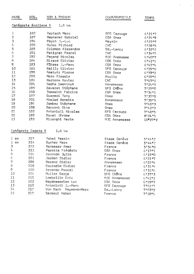| RANG     | DOS.                 | NOM & PRENOM          | CLUB/DOMICILE      | TEMPS   |
|----------|----------------------|-----------------------|--------------------|---------|
|          | Catégorie écoliers A | $lnB$ km              |                    |         |
| 1        | 180                  | Gertsch Marc          | <b>SFG Carouge</b> | 6!21"7  |
| 2        | 187                  | Magnenat Gabriel      | CGA Onex           | 6!24!9  |
| 3        | 194                  | Payot J.-Luc          | Meyrin             | 6!25"9  |
| 4        | 190                  | Munoz Richard         | <b>CHC</b>         | 6!28"5  |
| 5        | 185                  | Colombo Alexandre     | $Gd$ .-Lancy       | 6'32"2  |
| 6        | 191                  | Petignat Pascal       | CHC                | 6!34!5  |
| 7        | 192                  | Pagand Nicolas        | MJC Anemasse       | 614017  |
| B        | 184                  | Girard Olivier        | CGA Dnex           | 6141#6  |
| 9        | 183                  | Führer J.-Marc        | CGA Onex           | 614714  |
| 10       | 181                  | Bailly Olivier        | SFG Carouge        | 6!59"0  |
| 11       | 199                  | Ametutz Pierre        | CGA Onex           | 6!59"2  |
| 12       | 200                  | Moro Alessio          | Avully             | 6'59"5  |
| 13       | 186                  | Narbona Xavier        | CHC                | 7107"2  |
| 14       | 504                  | Redha Saentouh        | Annemasse          | 712415  |
| 15       | 195                  | Devarat Stéphane      | SFG CHÊne          | 712910  |
| 16       | 168                  | Tomasini Fabrice      | CGA Dnex           | 7!36"1  |
| 17       | 197                  | Guaresi Tony          | Onex               | 7137.0  |
| 1B       | 201                  | Khaled Benatia        | Annemasse          | 7139#5  |
| 19       | 196                  | Zambaz Stéphane       | Onex               | 714013  |
| 20       | 198                  | Sacconi Gino          | Onex               | 7142#3  |
| 21       | 182                  | Antonioli Nicolas     | SFG Carouge        | 714815  |
| 22       | 189                  | Davet Jérome          | CGA ONex           | 812415  |
| 23       | 193                  | Rizonghi Karim        | MJC Annemasse      | 10*27"2 |
|          | Catégorie Cadets 8   | 1.8 km                |                    |         |
| $1$ $ex$ | 227                  | Tabet Yassin          | Stade Genève       | 5144#2  |
| 1<br>EX  | 214                  | <b>Bucher Marc</b>    | Stade Genéve       | 514412  |
| 3        | 222                  | Benasser Amer         | France             | 5!56"0  |
| 4        | 211                  | Paratte Frédéric      | CGA Onex           | 6!17"1  |
| 5        | 216                  | Arcondo Julio         | France             | 6!19"0  |
| 6        | 221                  | Jordan Didier         | France             | 6!21"7  |
| 7        | 228                  | Rozand Didier         | Annemasse          | 6122#4  |
| 8        | 218                  | Couradin Didier       | France             | 613114  |
| 9        | 220                  | Arcondo Pascal        | France             | 6!31@6  |
| 10       | 224                  | Muller Serge          | SFG Chêne          | 613713  |
| 11       | 215                  | Lambellin Eric        | MJC Annemasse      | 6141#1  |
| 12       | 223                  | Bagdassarian Luc      | CGA Onex           | 615917  |
| 13       | 210                  | Antonioli J.-Marc     | SFG Carouge        | 7101#7  |
| 14       | 212                  | Von Dach Raymond-Marc | $Gd$ .-Lancy       | 7103"2  |
| 15       | 217                  | Saraoui Kaber         | France             | 7'18"6  |

 $\label{eq:3.1} \left\langle \left\langle \hat{f}_{\alpha} \right\rangle \right\rangle_{\alpha} = \left\langle \hat{f}_{\alpha} \right\rangle_{\alpha}$ 

 $\frac{1}{2} \frac{1}{2} \frac{1}{2} \frac{1}{2}$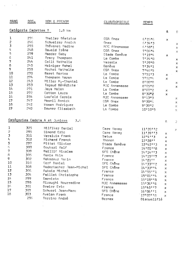| RANG                    | <u>DOS.</u>          | NOM & PRENOM                          | CLUB/DOMICILE  | <b>TEMPS</b> |                               |                |
|-------------------------|----------------------|---------------------------------------|----------------|--------------|-------------------------------|----------------|
|                         | Catégorie Cadettes 8 | $l_aB$ $km$                           |                |              | $\boldsymbol{\beta}$          | $\mathbf{g}$   |
| 1                       | 276                  | Theiler Béatrice                      | CGA Onex       | 6125#6       | ×                             |                |
| 2                       | 246                  | Schweizer Analck                      | Onex           | 6134#3       |                               | ×              |
| 3                       | 255                  | Thévenet Nadine                       | MJC Afinemasse | 6!58"1       |                               | X              |
| $_{4}$                  | 24B                  | <b>Oswald Irène</b>                   | CGA Onex       | 710614       |                               | X              |
| 5                       | 279                  | Maeder Geby                           | Stade Genève   | 711914       | x                             |                |
| 6                       | 241                  | Tracy Thompson                        | La Combe       | 712410       |                               | ×              |
| 7                       | 244                  | Colli Nathalie                        | Versoix        | 7!29"0       |                               | $\times$       |
| 8                       | 245                  | Heiniger Rahel                        | Genève         | 7134#1       |                               | x              |
| 9                       | 250                  | Rochat Nathalie                       | CGA Onex       | 7*46#5       |                               | $\mathbb{X}$   |
| 10                      | 270                  | <b>Baret Bertea</b>                   | La Combe       | 715113       | ×                             |                |
| 11                      | 274                  | Thompson Karen                        | La Combe       | 7152#4       | ×                             |                |
| 12                      | 243                  | Miller M.-Chantal                     | La Combe       | 810010       |                               | x              |
| 13                      | 253                  | Tagaud Bénédicte :                    | MJC Annemasse  | $8*05*0$     |                               | ×              |
| 14                      | 271                  | Jays Helen                            | La Combe       | 8'07''2      | x.                            |                |
| 15                      | 272                  | Cotton Laura                          | La Combe       | 8130#2       | X.                            |                |
| 16                      | 254                  | Losfeld Carole                        | MJC Annemasse  | 911313       |                               | ×              |
| 17                      | 247                  | Mesmil Annick                         | CGA Onex       | 913016       |                               | X              |
| 16                      | 242                  | Wosen Rodriguez                       | La Combe       | 9!39"2       |                               | $\mathbb{M}^+$ |
| 19                      | 240                  | Downer Elisabeth                      | La Combe       | 10'10"5      |                               | X.             |
|                         |                      | Catégories Cadets A et Juniors<br>3.6 |                |              | $\mathfrak{p}_{\mathfrak{p}}$ | J              |
| 1                       | 325                  | Hilfiker Daniel                       | Care Vevey     | 11'20''2     |                               | x              |
| $\overline{\mathbf{c}}$ | 295                  | Simond Eric                           | Care Vevey     | 11!391!3     | $\mathbb{X}$                  |                |
| $\overline{\mathbf{3}}$ | 311                  | Versluis Frank                        | Satus          | 1214113      | x                             |                |
| 1,                      | 312                  | Richard Franck                        | Thonon         | 12'28''      | x                             |                |
| 5                       | 297                  | Pittet Olivier                        | Stade Genève   | 12'42''3     | x                             |                |
| 6                       | 300                  | Doukari Ralf                          | France         | 14'01''B     | ×                             |                |
| 7                       | 309                  | Baillif Nicolas                       | SFG Chêne      | 14'14''3     | $\times$                      |                |
| $\overline{\mathrm{e}}$ | 305                  | Benia Akim                            | France         | 14'15''7     | ×                             |                |
| 9                       | 302                  | Hekadour Kacin                        | France         | 14'21''      | $\times$                      |                |
| 10                      | 310                  | Cerf Daniel                           | SFG Chêne      | 14133112     | ×                             |                |
| 11                      | 308                  | Badertscher Jean-Michel               | SFG Chêne      | 14133114     | ×                             |                |
| 12                      | 306                  | Aubois Michel                         | France         | 14 55 11     | X                             |                |
| 13                      | 304                  | Paillet Christophe                    | France         | 15!01!14     | x                             |                |
| 14                      | 299                  | Sarnieto                              | France         | 15'19'''8    | x                             |                |
| 15                      | 298                  | Rizoughi Nourredine                   | MJC Annemasse  | 15!36!!6     | ×                             |                |
| 16                      | 301                  | Dreier Eric                           | France         | 15145117     | ×                             |                |
| 17                      | 307                  | Schweri Jean-Marc                     | SFG Chêne      | 16'06''1     | x                             |                |
| 18                      | 303                  | Avelan Frank                          | France         | 17'07''18    | X                             |                |
|                         | 296                  | Torrino André                         | Bernex         | Disqualifié  |                               |                |
|                         |                      | ÷                                     |                |              |                               |                |

 $\label{eq:2} \hat{P}_{\rm eff} = \frac{1}{2} \sum_{i=1}^{N} \hat{P}_{\rm eff} \hat{P}_{\rm eff}$ 

 $\label{eq:2.1} \frac{1}{2} \int_{-\infty}^{\infty} \frac{1}{2} \, \mathrm{d} x \, \mathrm{d} x \, \mathrm{d} x \, \mathrm{d} x \, \mathrm{d} x \, \mathrm{d} x \, \mathrm{d} x \, \mathrm{d} x \, \mathrm{d} x \, \mathrm{d} x \, \mathrm{d} x \, \mathrm{d} x \, \mathrm{d} x \, \mathrm{d} x \, \mathrm{d} x \, \mathrm{d} x \, \mathrm{d} x \, \mathrm{d} x \, \mathrm{d} x \, \mathrm{d} x \, \mathrm{d} x \, \mathrm{d} x \, \mathrm{d} x \$ 

 $\frac{1}{\sqrt{2}}$ 

 $\label{eq:1} \frac{1}{\left|\mathbf{E}\right|_{\mathbf{E}}}\left(\mathbf{E}\right) = \frac{1}{\left|\mathbf{E}\right|_{\mathbf{E}}}\left(\mathbf{E}\right)$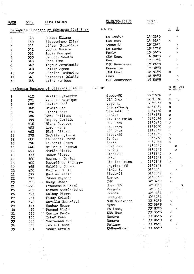| RANG               | $DDS_{\bullet}$ | NOM& PRENOM                              | CLUB/DOMICILE     | <b>TEMPS</b>    |                          |                               |
|--------------------|-----------------|------------------------------------------|-------------------|-----------------|--------------------------|-------------------------------|
|                    |                 | Catégorie Juniores et Séniores féminines | 3.6 km            |                 | أم                       | $\Xi$                         |
|                    |                 | Gubler Eliane                            | CA Genève         | 14 28 3         |                          | Х                             |
| 1                  | 348             | Slettenhaar Elize                        | CGA Onex          | 14158#4         | $\mathbb{X}$             |                               |
| Ž                  | 350             |                                          | Stade-GE          | 15'26"4         |                          | x                             |
| 3                  | 344             | Vifian Christiane                        | La Combe          | 15147#2         |                          | x                             |
| $l_{\ast}$         | 342             | Luphon Pamela                            |                   | 15'56"8         |                          | ×                             |
| 5                  | 351             | louis Monique                            | Perly<br>CGA Onex | 16'00''B        | ×                        |                               |
| 6                  | 353             | Vanotti Sandra                           | Onex              | 17!17"4         |                          | X                             |
| 7                  | 343             | Moor Tina                                |                   | 17'26"8         |                          |                               |
| $\mathbf 8$        | 347             | Tagaud Antoinette                        | MJC Annemasse     |                 |                          | ×                             |
| 9                  | 340             | Collin Agnès                             | Monnetier         | 17'32''0        |                          | ×                             |
| 10                 | 352             | Füssler Catherine                        | CGA Onex          | 18'51"5         | $\mathbb{R}^n$           |                               |
| 11                 | 341             | Fernandez Colette                        | <b>Unex</b>       | 18'54"3         |                          | $\mathcal{N}$                 |
| 12                 | 345             | Laine Monique                            | MJC Annemasse     | 19'05"5         |                          | $\mathbb{X}$                  |
|                    |                 | Catégorie Seniors et Vétérans 1 et II    | 9a0 km            |                 |                          | S VI VII                      |
|                    | 412             | Martin Sylvestre                         | Stade-GE          | 27157#4         | ×                        |                               |
| ı<br>2             | 371             | Zehfus Dominique                         | CGA Onex          | $28$ $101$ $16$ | $\mathbb{R}$             |                               |
|                    |                 | Farisa René                              | Vesenaz           | 28'25"3         | $\mathbb{X}$             |                               |
| 3                  | 602             |                                          | Chêne-Bourg       | 88'31"1         | ×                        |                               |
| $\mathbf{I}_{4}$   | 362             | Bowers 8ob                               | Stade-GE          | 28'43"6         | ×                        |                               |
| 5                  | 374             | Tiasot Marc                              | Genève            | 28152#3         | $\times$                 |                               |
| 6                  | 384             | Coex Philippe                            | Aix les Baine     | 29'01"9         | ×                        |                               |
| 7                  | 399             | "Boguey Camille                          |                   | 29:04"3         | X.                       |                               |
| $\pmb{\mathsf{B}}$ | 410             | Blanc Jacques                            | CGA Onex          | 29'28"0         |                          |                               |
| 9                  | 402             | Lerch Hanz                               | Pt-Lancy          |                 | . х                      |                               |
| 10                 | 462             | Blein Gilbert                            | CGA Onex          | 29142#2         | $\mathcal{L}^{\pm}$      | $\mathbf{\hat{x}}^{\text{r}}$ |
| 11                 | 375             | Gadella Sylvain                          | Stade-GE          | 30'12"2         | $\mathbb{X}$             |                               |
| 12                 | 600             | Laubscher André                          | Genève            | 30137#8         | $\times$                 |                               |
| 13                 | 390             | Lakhdari Jakcy                           | Paris             | 30'40"2         | x                        |                               |
| 14                 | 445             | De Jesus Antonio                         | Portugal          | 31'08"7         |                          | $\mathbb{X}$                  |
| $1\,$              | 453             | Martin Pierre                            | Genève            | 31'09"9         |                          | $\times$                      |
| 16                 | 373             | Weber Pierre                             | Stade=GE          | $31'11''7$ .    | $\times$                 |                               |
| 17                 | 360             | Bachmann Daniel                          | Onex              | 31 23 19        | ×                        |                               |
| 18                 | 400             | Decurlinge Philippe                      | Aix les Bains     | 31'31"2         | $\!\times\!$             |                               |
| 19                 | 468             | Helbling Johann                          | Veyrier-UGS       | 31'32"1         |                          | $\mathbbmss{K}$               |
| 20                 | 450             | Dallman David                            | St-Genis          | 31'36"3         |                          | ×                             |
| 21                 | 377             | Gurtner Alain                            | Stade=GE          | 31'57"7         | Х                        |                               |
| 22                 | 372             | Zosso Raymond                            | Bernex            | 31159#97        | ×                        |                               |
|                    | 395             | Rouge Robin                              | <b>CHP</b>        | 32'04"0         | $\mathcal{H}_\mathrm{c}$ |                               |
| 23                 | $-472$          | Fracheboud André                         | Onex GCA          | 32'09"3         |                          | Х                             |
| 24                 | 429             | Riesen André-Michel                      | Vermaix           | 3213318         |                          | $\sim 10^{-1}$                |
| 25                 |                 |                                          | France            | 32138#1         | $\times$                 |                               |
| 26                 | 391             | Dalboy Pierre                            | Sezegnin          | 32143#6         |                          | $\times$                      |
| 27                 | 451             | Pinay Crispin                            | MJC Annemasse     | 3215219         | ×                        |                               |
| 28                 | 378             | Naville Jean-Paul                        |                   | 32156#9         | $\mathbbm{K}$            |                               |
| 29                 | 363             | Bucher Roger                             | Nyan              | 33'00"B         |                          |                               |
| 30                 | 426             | Menoud Alain                             | Pt-Lancy          |                 |                          | ×                             |
| 31                 | 365             | Contin Denis                             | CGA Onex          | 33105#8         | $\times$                 |                               |
| 32                 | 603             | Imhof Béat                               | Genève            | 33'06"6         | $\mathbb{X}$             |                               |
| 33                 | 383             | Santomaso Yvo                            | Genève            | 33'06"9         | $\mathbb{X}$             |                               |
| 34                 | 439             | Juvin Claude                             | Satigny           | 33'26"1         |                          | X                             |
| 35                 | 431             | Vodoz Gérald                             | Chêne=Bourg       | 33148#7         |                          | Х                             |
|                    |                 |                                          |                   |                 |                          |                               |
|                    |                 |                                          |                   |                 |                          |                               |
|                    |                 |                                          |                   |                 |                          |                               |
|                    |                 |                                          |                   |                 |                          |                               |
|                    |                 |                                          |                   |                 |                          |                               |
|                    |                 |                                          |                   |                 |                          |                               |

 $\frac{1}{2}$ 

 $\frac{1}{\sqrt{2}}\sum_{i=1}^{n-1}\frac{1}{\sqrt{2}}\sum_{i=1}^{n-1}\frac{1}{\sqrt{2}}\sum_{i=1}^{n-1}\frac{1}{\sqrt{2}}\sum_{i=1}^{n-1}\frac{1}{\sqrt{2}}\sum_{i=1}^{n-1}\frac{1}{\sqrt{2}}\sum_{i=1}^{n-1}\frac{1}{\sqrt{2}}\sum_{i=1}^{n-1}\frac{1}{\sqrt{2}}\sum_{i=1}^{n-1}\frac{1}{\sqrt{2}}\sum_{i=1}^{n-1}\frac{1}{\sqrt{2}}\sum_{i=1}^{n-1}\frac{1}{\sqrt{2}}$ 

 $\mathcal{A}^{\mathcal{A}}$ 

 $\omega$ 

 $\mathcal{L}_{\mathcal{A}}$ 

 $\tilde{\mathbf{x}}$  $\ell = 1$  $\mathcal{A}$ 

 $\mathcal{L}_{\mathcal{L}}$ 

 $\frac{1}{2}$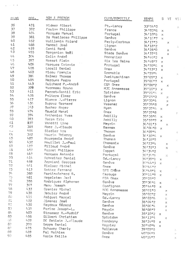| <b>RANG</b> | DOS _       | NOM & PRENOM                  | CLUB/DOMICILE | <b>TEMPS</b>                        | 5             | VÏ                       | VII                          |
|-------------|-------------|-------------------------------|---------------|-------------------------------------|---------------|--------------------------|------------------------------|
| 36          | 471         | Widmer Albert                 | Pt.-Lancy     | 33154"0                             |               |                          | $\mathcal{G}^{\ast}_{k}$     |
| 37          | 392         | Foulon Philippe               | France        | 34 103 16                           | ×             |                          |                              |
| 38          | 404         | Marques Manuel                | Portugal      | 34 10 5                             | $\times$      |                          |                              |
| 39          | 381         | De Moeiloose Philippe         | Genève        | 34 26 17                            | $\times$      |                          |                              |
| $l_1$ O     | 452         | Wuillemin Roland              | Perly-Certoux | $34$ <sup>1</sup> 17 <sup>n</sup> 3 |               | $\times$                 |                              |
| 41          | 488         | Manoel Joaé                   | Lignon        | 34 18 2                             |               |                          |                              |
| 42          | 419         | Conti René                    | Genève        | 34128"0                             |               | $\times$                 | $\widetilde{\chi}^+_{\rm N}$ |
| 43          | 455         | Borgonion Noël                | Stade Genève  | 34 57 15                            |               | $\times$                 |                              |
| $l_1 l_1$   | 364         | Colin André                   | Monnetier     | 34146#2                             | ×             |                          |                              |
| $l_15$      | 397         | Rosset Alain                  | Aix les Bains | 34148"7                             | ×             |                          |                              |
| 46          | 406         | Marques Cotovio               | Portugal      | 3415016                             | $\asymp$      |                          |                              |
| 47          | 408         | Loosli Daniel                 | <b>Unex</b>   | 3415313                             | $\times$      |                          |                              |
| 48          | 460         | Ricou Françis                 | Grenoble      | 34155#4                             |               |                          |                              |
| 49          | 386         | Balmer Thomas                 | Zweituschinen | 35'05"3                             | X             |                          | Σ.                           |
| 50          | 405         | Marques Pedro                 | Portugal      | 35106#7                             | $\times$      |                          |                              |
| 51          | 443         | Guichard P.-André             | CGA Onex      | 35'08"2                             |               | $\mathbb{X}$             |                              |
| 52          | 379         | Yvonneau Bruno                | MJC Annemasse | 35'10"3                             | $\times$      |                          |                              |
| 53          | 411         | Perret-Gentil Eric            | Spiridon      | 35121#6                             | $\times$      |                          |                              |
| 54          | 428         | Poltera Elmer                 | Genève        | 35'25"0                             |               |                          |                              |
| 55          | 417         | Bianco J.-Pierra              | Lignan        | 35133#4                             |               | X<br>x                   |                              |
| 56          | 436         | Dupraz Gernard                | Vesenaz       | 35135#8                             |               | $\mathbb{X}$             |                              |
| 57          | 363         | Bucher Roger                  | Nyon          | 3513716                             | $\mathbb{X}$  |                          |                              |
| 59          | 474         | Oswald Henri                  | Onex          | 35137#8                             |               |                          | 対                            |
| 59          | 394         | Anthonioz Yves                | Ambilly       | 3513816                             | $\times$      |                          |                              |
| 60          | 393         | Tozzo Eric                    | Ambilly       | 35159#9                             | $\times$      |                          |                              |
| 61          | <b>537</b>  | Vanotti Lino                  | Meyrin        | $36^{+}01^{+}3$                     |               | $\mathbb{X}$             |                              |
| 52          | 385         | Moor J.-Claude                | Bernex        | 36 * 06 * 0                         | $\mathbb{X}$  |                          |                              |
| فمد لارة    | 486         | Siedler Urs                   | Thonon        | 36107#4                             |               |                          | 堤                            |
| 64          | 382         | Waurin Thierry                | Genève        | 36!1016                             | $\mathbf{x}$  |                          |                              |
| 65          | 487         | Bourgeois André               | Thono n       | 36'18"9                             |               |                          | 95                           |
| 66          | 432         | Mouillet J.-Paul              | Chamonix      | 3612314                             |               | $\mathcal{P}_\mathrm{c}$ |                              |
| 67          | 427         | Pilloud André                 | Genève        | 36131#3                             |               | X                        |                              |
| 68          | 457         | Perret Philippe               | Coppet        | 36134#2                             |               |                          | N.                           |
| 69          | 447         | Marques Antonio               | Portugal      | 3613416                             |               | $\mathbb{X}^{\ast}$      |                              |
| 70          | 414         | Schneiter Daniel              | Gd.-Lancy     | 36139#1                             | $\times$      |                          |                              |
| 71          | 459         | Zermiani Georges              | Genève        | 3614413                             | X             |                          |                              |
| 72          | 461         | Bielser Michel                | Onex          | 36146#2                             |               |                          | ţ£.                          |
| 73          | 413         | Sottez Fernand                | SFG CHÊne     | 36148#1                             | $\mathcal{R}$ |                          |                              |
| 71.         | 380         | Martin-Achard 6.              | Carouge       | 37111#9                             | $\mathbb X$   |                          |                              |
| 75          | 481         | Hagelstam Jarl                | CGA Onex      | 3712517                             |               |                          | $\mathcal{H}_\mathrm{c}$     |
| 76          | 388         | Rodriguez Alphonso            | Genève        | 37136"6                             | ×             |                          |                              |
| 77          | 367         | Menu Joseph                   | Configmon     | 37144#9                             | ×             |                          |                              |
| 78          | 433         | Grenier Michel                | MJC Annemasse | 38'01"0                             |               | ×                        |                              |
| 79          | 438         | Jequier André                 | Meyrin        | 38102#2                             |               | x                        |                              |
| go          | 415         | Amiguet Marcel                | Gd.-Lancy     | 38103"6                             |               | ×                        |                              |
| 31          | 422         | Jimenez José                  | Genève        | 38104#2                             |               | ×                        |                              |
| 82<br>83    | 430         | Seydoux Gérard                | Genève        | 38106"4                             |               | X                        |                              |
| 84          | 435         | Perise Joseph-L.              | Meyrin        | 38'08"7                             |               | $\times$                 |                              |
|             | 403         | Strasser H.-Rudolf            | Genève        | 38'10"2                             | Х             |                          |                              |
| 85<br>ÕΘ    | 1,58<br>409 | Gilbert Christian             | Spiridon      | 38113#5                             |               | $\mathbb{X}$             |                              |
| 67          | 370         | DE Batista J.-Claude          | Dardagny      | 38114#9                             | ×             |                          |                              |
| gе.         | 475         | Soppa Daniel                  | Veyrier       | 3814814                             | x             |                          |                              |
| 99          | 489         | Schuwey Charly<br>Pal Mathias | Bellevue      | 39 * 05 * 8                         |               |                          | Þ.                           |
| 90          | 485         | Rerla Emilio                  | Genève        | 40'06"9                             |               |                          | $\searrow$                   |
|             |             |                               | Onex          | 40'16"7                             |               |                          | ×                            |

 $\mathbf{r} = \mathbf{r}^{\top} \left( \mathbf{r} - \mathbf{r} \right)$ 

 $\frac{1}{2}$  ,  $\frac{1}{2}$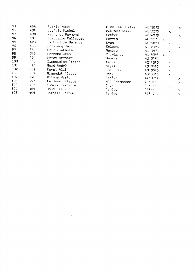| 91              | 464  | Burkie Henri        | Plan les Ouates | $40*28*2$   |              | ×            |
|-----------------|------|---------------------|-----------------|-------------|--------------|--------------|
| 92              | 434  | Losfeld Michel      | MJC ANNEmasse   | 40'32"5     | $\mathbb{X}$ |              |
| 93              | 490  | Magnenat Raymond    | Genève          | 4014779     |              | Χ            |
| $9I_1$          | 601  | Guerreiro Felisbero | Meyrin          | 40.52 1     | $\mathbf x$  |              |
| 95              | 423  | Le Coultre Georges  | Nyan            | 40158#3     | ×            |              |
| 96.             | 466. | Garstang Jack       | Calagny         | 41'23"5     |              | ×            |
| 97              | 456  | Paul J.-Louis       | Genève          | 41'38"1     | x            |              |
| 98              | 361  | Bornand Jean        | Pt.-Lancy       | 41'43"4 x   |              |              |
| 99              | 454  | Foray Bernard       | Genève          | 4213412     | ×            |              |
| 100             | 440  | Zinguinian Aratsh   | Le Vaud         | 42148#3     | x            |              |
| 101             | 416  | Bard André          | Meyrin          | 43106#7     | $\times$     |              |
| 102             | 442  | Davet Alain         | CGA Onex        | 4313313     | ×.           |              |
| 103             | 467  | Gigandet Claude     | Onex            | 4313315     | $\mathbf x$  |              |
| 104             | 476  | Ottone Mario        | Genève          | 4410771     |              | ×            |
| 105             | 473  | Le Dreau Pierre     | MJC Annemasse   | 46'01"5     |              | ×            |
| 10 <sub>0</sub> | 421  | Fuhrer J.-Daniel    | Onex            | 46 * 45 * 2 | $\times$     |              |
| 107             | 4B4  | Baud Fernand        | Genève          | 49158"6     |              | ×            |
| 108             | 465  | Corazza Gaston      | Genève          | 53127#9     |              | $\mathbb{X}$ |
|                 |      |                     |                 |             |              |              |

 $\label{eq:2.1} \frac{1}{\sqrt{2}}\int_{0}^{\infty}\frac{1}{\sqrt{2\pi}}\left(\frac{1}{\sqrt{2\pi}}\right)^{2\alpha} \frac{1}{\sqrt{2\pi}}\int_{0}^{\infty}\frac{1}{\sqrt{2\pi}}\left(\frac{1}{\sqrt{2\pi}}\right)^{\alpha} \frac{1}{\sqrt{2\pi}}\frac{1}{\sqrt{2\pi}}\int_{0}^{\infty}\frac{1}{\sqrt{2\pi}}\frac{1}{\sqrt{2\pi}}\frac{1}{\sqrt{2\pi}}\frac{1}{\sqrt{2\pi}}\frac{1}{\sqrt{2\pi}}\frac{1}{\sqrt{2\pi}}$ 

 $\label{eq:2.1} \frac{1}{\left\| \left( \frac{1}{\sqrt{2}} \right)^2 \right\|} \leq \frac{1}{\sqrt{2}} \sum_{i=1}^{\infty} \frac{1}{\sqrt{2}} \left( \frac{1}{\sqrt{2}} \right)^2 \leq \frac{1}{\sqrt{2}} \sum_{i=1}^{\infty} \frac{1}{\sqrt{2}} \left( \frac{1}{\sqrt{2}} \right)^2 \leq \frac{1}{\sqrt{2}} \sum_{i=1}^{\infty} \frac{1}{\sqrt{2}} \left( \frac{1}{\sqrt{2}} \right)^2 \leq \frac{1}{\sqrt{2}} \sum_{i=1}^{\infty$ 

 $\mathbf{w} = \mathbf{r}^{\top} \left( \mathbf{r}^{\top} \right) \mathbf{r}^{\top} \left( \mathbf{r}^{\top} \right)$